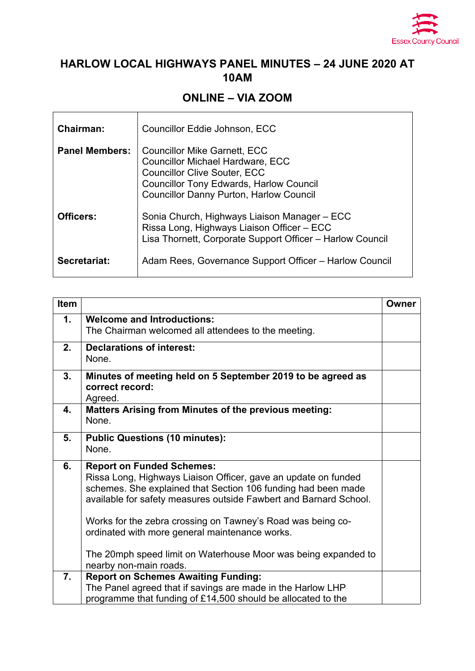

## **HARLOW LOCAL HIGHWAYS PANEL MINUTES – 24 JUNE 2020 AT 10AM**

## **ONLINE – VIA ZOOM**

| <b>Chairman:</b>      | Councillor Eddie Johnson, ECC                                                                                                                                                                                             |
|-----------------------|---------------------------------------------------------------------------------------------------------------------------------------------------------------------------------------------------------------------------|
| <b>Panel Members:</b> | <b>Councillor Mike Garnett, ECC</b><br><b>Councillor Michael Hardware, ECC</b><br><b>Councillor Clive Souter, ECC</b><br><b>Councillor Tony Edwards, Harlow Council</b><br><b>Councillor Danny Purton, Harlow Council</b> |
| Officers:             | Sonia Church, Highways Liaison Manager - ECC<br>Rissa Long, Highways Liaison Officer - ECC<br>Lisa Thornett, Corporate Support Officer - Harlow Council                                                                   |
| Secretariat:          | Adam Rees, Governance Support Officer – Harlow Council                                                                                                                                                                    |

| Item |                                                                                                                                                                                                                                                                                                                                                                                                                             | <b>Owner</b> |
|------|-----------------------------------------------------------------------------------------------------------------------------------------------------------------------------------------------------------------------------------------------------------------------------------------------------------------------------------------------------------------------------------------------------------------------------|--------------|
| 1.   | <b>Welcome and Introductions:</b><br>The Chairman welcomed all attendees to the meeting.                                                                                                                                                                                                                                                                                                                                    |              |
| 2.   | <b>Declarations of interest:</b><br>None.                                                                                                                                                                                                                                                                                                                                                                                   |              |
| 3.   | Minutes of meeting held on 5 September 2019 to be agreed as<br>correct record:<br>Agreed.                                                                                                                                                                                                                                                                                                                                   |              |
| 4.   | Matters Arising from Minutes of the previous meeting:<br>None.                                                                                                                                                                                                                                                                                                                                                              |              |
| 5.   | <b>Public Questions (10 minutes):</b><br>None.                                                                                                                                                                                                                                                                                                                                                                              |              |
| 6.   | <b>Report on Funded Schemes:</b><br>Rissa Long, Highways Liaison Officer, gave an update on funded<br>schemes. She explained that Section 106 funding had been made<br>available for safety measures outside Fawbert and Barnard School.<br>Works for the zebra crossing on Tawney's Road was being co-<br>ordinated with more general maintenance works.<br>The 20mph speed limit on Waterhouse Moor was being expanded to |              |
|      | nearby non-main roads.                                                                                                                                                                                                                                                                                                                                                                                                      |              |
| 7.   | <b>Report on Schemes Awaiting Funding:</b><br>The Panel agreed that if savings are made in the Harlow LHP<br>programme that funding of £14,500 should be allocated to the                                                                                                                                                                                                                                                   |              |